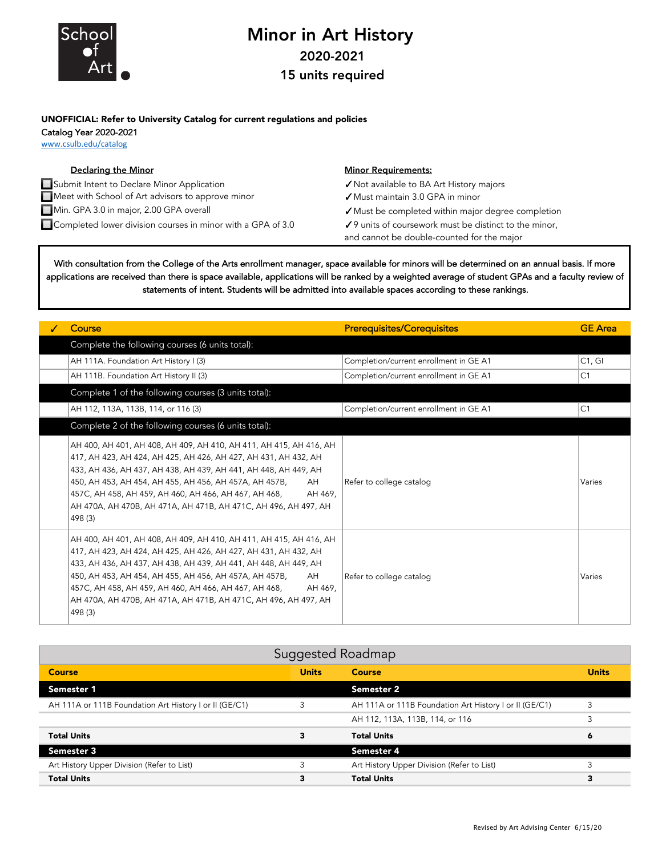

## Minor in Art History 2020-2021

15 units required

## UNOFFICIAL: Refer to University Catalog for current regulations and policies Catalog Year 2020-2021

www.csulb.edu/catalog

## **Declaring the Minor Community Community Community Community Community Community Community Community Community** Community Community Community Community Community Community Community Community Community Community Community ✓Not available to BA Art History majors ✓Must maintain 3.0 GPA in minor ✓Must be completed within major degree completion ■ Completed lower division courses in minor with a GPA of 3.0 **79** units of coursework must be distinct to the minor, and cannot be double-counted for the major Submit Intent to Declare Minor Application Meet with School of Art advisors to approve minor Min. GPA 3.0 in major, 2.00 GPA overall

With consultation from the College of the Arts enrollment manager, space available for minors will be determined on an annual basis. If more applications are received than there is space available, applications will be ranked by a weighted average of student GPAs and a faculty review of statements of intent. Students will be admitted into available spaces according to these rankings.

| Course                                                                                                                                                                                                                                                                                                                                                                                                                     | <b>Prerequisites/Corequisites</b>      | <b>GE</b> Area |
|----------------------------------------------------------------------------------------------------------------------------------------------------------------------------------------------------------------------------------------------------------------------------------------------------------------------------------------------------------------------------------------------------------------------------|----------------------------------------|----------------|
| Complete the following courses (6 units total):                                                                                                                                                                                                                                                                                                                                                                            |                                        |                |
| AH 111A. Foundation Art History I (3)                                                                                                                                                                                                                                                                                                                                                                                      | Completion/current enrollment in GE A1 | C1, G1         |
| AH 111B. Foundation Art History II (3)                                                                                                                                                                                                                                                                                                                                                                                     | Completion/current enrollment in GE A1 | C <sub>1</sub> |
| Complete 1 of the following courses (3 units total):                                                                                                                                                                                                                                                                                                                                                                       |                                        |                |
| AH 112, 113A, 113B, 114, or 116 (3)                                                                                                                                                                                                                                                                                                                                                                                        | Completion/current enrollment in GE A1 | C <sub>1</sub> |
| Complete 2 of the following courses (6 units total):                                                                                                                                                                                                                                                                                                                                                                       |                                        |                |
| AH 400, AH 401, AH 408, AH 409, AH 410, AH 411, AH 415, AH 416, AH<br>417, AH 423, AH 424, AH 425, AH 426, AH 427, AH 431, AH 432, AH<br>433, AH 436, AH 437, AH 438, AH 439, AH 441, AH 448, AH 449, AH<br>450, AH 453, AH 454, AH 455, AH 456, AH 457A, AH 457B,<br>AH<br>457C, AH 458, AH 459, AH 460, AH 466, AH 467, AH 468,<br>AH 469.<br>AH 470A, AH 470B, AH 471A, AH 471B, AH 471C, AH 496, AH 497, AH<br>498 (3) | Refer to college catalog               | Varies         |
| AH 400, AH 401, AH 408, AH 409, AH 410, AH 411, AH 415, AH 416, AH<br>417, AH 423, AH 424, AH 425, AH 426, AH 427, AH 431, AH 432, AH<br>433, AH 436, AH 437, AH 438, AH 439, AH 441, AH 448, AH 449, AH<br>450, AH 453, AH 454, AH 455, AH 456, AH 457A, AH 457B,<br>AH<br>457C, AH 458, AH 459, AH 460, AH 466, AH 467, AH 468,<br>AH 469.<br>AH 470A, AH 470B, AH 471A, AH 471B, AH 471C, AH 496, AH 497, AH<br>498 (3) | Refer to college catalog               | Varies         |

| Suggested Roadmap                                      |              |                                                        |              |  |
|--------------------------------------------------------|--------------|--------------------------------------------------------|--------------|--|
| Course                                                 | <b>Units</b> | <b>Course</b>                                          | <b>Units</b> |  |
| Semester 1                                             |              | <b>Semester 2</b>                                      |              |  |
| AH 111A or 111B Foundation Art History I or II (GE/C1) |              | AH 111A or 111B Foundation Art History I or II (GE/C1) |              |  |
|                                                        |              | AH 112, 113A, 113B, 114, or 116                        |              |  |
| <b>Total Units</b>                                     |              | <b>Total Units</b>                                     | 6            |  |
| Semester 3                                             |              | Semester 4                                             |              |  |
| Art History Upper Division (Refer to List)             |              | Art History Upper Division (Refer to List)             |              |  |
| <b>Total Units</b>                                     |              | <b>Total Units</b>                                     | 3            |  |